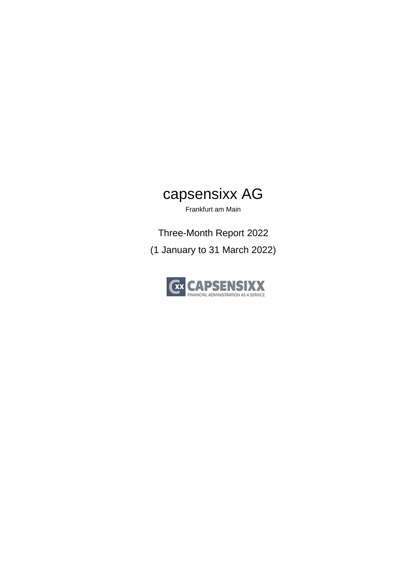# capsensixx AG

Frankfurt am Main

Three-Month Report 2022 (1 January to 31 March 2022)

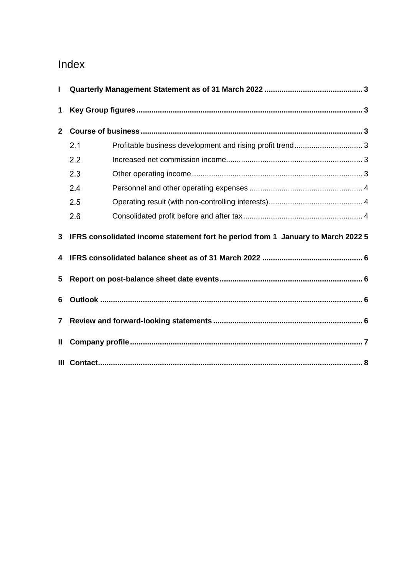# Index

| П            |                                                                                  |  |  |  |
|--------------|----------------------------------------------------------------------------------|--|--|--|
| 1            |                                                                                  |  |  |  |
| $\mathbf{2}$ |                                                                                  |  |  |  |
|              | 2.1                                                                              |  |  |  |
|              | 2.2                                                                              |  |  |  |
|              | 2.3                                                                              |  |  |  |
|              | 2.4                                                                              |  |  |  |
|              | 2.5                                                                              |  |  |  |
|              | 2.6                                                                              |  |  |  |
| 3            | IFRS consolidated income statement fort he period from 1 January to March 2022 5 |  |  |  |
| 4            |                                                                                  |  |  |  |
| 5            |                                                                                  |  |  |  |
| 6            |                                                                                  |  |  |  |
| $\mathbf{7}$ |                                                                                  |  |  |  |
| Ш.           |                                                                                  |  |  |  |
|              |                                                                                  |  |  |  |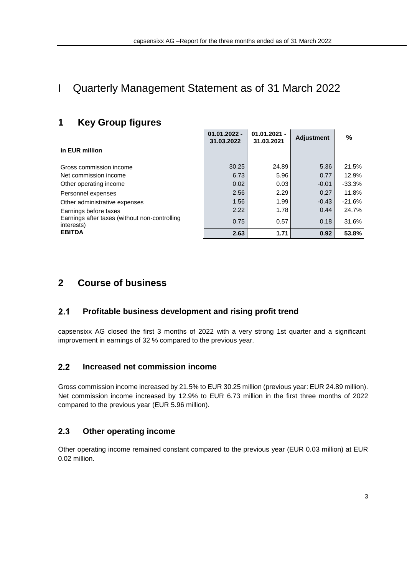$\sim$ 

 $\mathbf{I}$  and  $\mathbf{I}$  and  $\mathbf{I}$ 

# <span id="page-2-1"></span><span id="page-2-0"></span>I Quarterly Management Statement as of 31 March 2022

## **1 Key Group figures**

|                                                             | $01.01.2022 -$<br>31.03.2022 | $01.01.2021 -$<br>31.03.2021 | <b>Adjustment</b> | ℅        |
|-------------------------------------------------------------|------------------------------|------------------------------|-------------------|----------|
| in EUR million                                              |                              |                              |                   |          |
| Gross commission income                                     | 30.25                        | 24.89                        | 5.36              | 21.5%    |
| Net commission income                                       | 6.73                         | 5.96                         | 0.77              | 12.9%    |
| Other operating income                                      | 0.02                         | 0.03                         | $-0.01$           | $-33.3%$ |
| Personnel expenses                                          | 2.56                         | 2.29                         | 0.27              | 11.8%    |
| Other administrative expenses                               | 1.56                         | 1.99                         | $-0.43$           | $-21.6%$ |
| Earnings before taxes                                       | 2.22                         | 1.78                         | 0.44              | 24.7%    |
| Earnings after taxes (without non-controlling<br>interests) | 0.75                         | 0.57                         | 0.18              | 31.6%    |
| <b>EBITDA</b>                                               | 2.63                         | 1.71                         | 0.92              | 53.8%    |

### <span id="page-2-3"></span><span id="page-2-2"></span>**2 Course of business**

#### $2.1$ **Profitable business development and rising profit trend**

capsensixx AG closed the first 3 months of 2022 with a very strong 1st quarter and a significant improvement in earnings of 32 % compared to the previous year.

#### <span id="page-2-4"></span> $2.2$ **Increased net commission income**

Gross commission income increased by 21.5% to EUR 30.25 million (previous year: EUR 24.89 million). Net commission income increased by 12.9% to EUR 6.73 million in the first three months of 2022 compared to the previous year (EUR 5.96 million).

#### <span id="page-2-5"></span> $2.3$ **Other operating income**

Other operating income remained constant compared to the previous year (EUR 0.03 million) at EUR 0.02 million.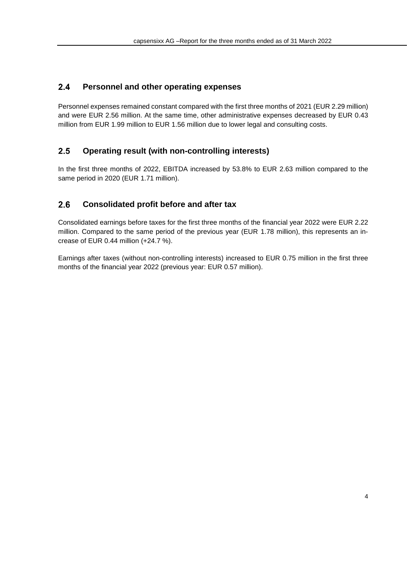#### <span id="page-3-0"></span> $2.4$ **Personnel and other operating expenses**

Personnel expenses remained constant compared with the first three months of 2021 (EUR 2.29 million) and were EUR 2.56 million. At the same time, other administrative expenses decreased by EUR 0.43 million from EUR 1.99 million to EUR 1.56 million due to lower legal and consulting costs.

#### <span id="page-3-1"></span> $2.5$ **Operating result (with non-controlling interests)**

In the first three months of 2022, EBITDA increased by 53.8% to EUR 2.63 million compared to the same period in 2020 (EUR 1.71 million).

#### <span id="page-3-2"></span> $2.6$ **Consolidated profit before and after tax**

Consolidated earnings before taxes for the first three months of the financial year 2022 were EUR 2.22 million. Compared to the same period of the previous year (EUR 1.78 million), this represents an increase of EUR 0.44 million (+24.7 %).

Earnings after taxes (without non-controlling interests) increased to EUR 0.75 million in the first three months of the financial year 2022 (previous year: EUR 0.57 million).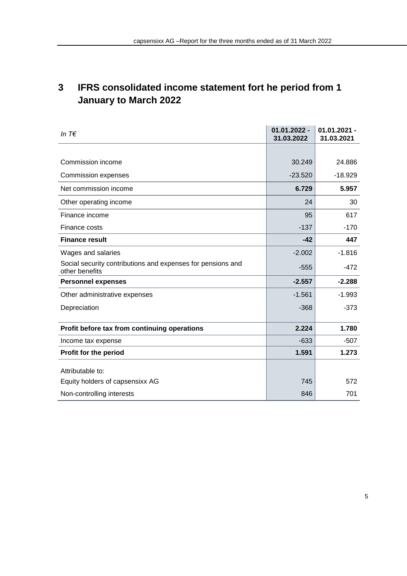# <span id="page-4-0"></span>**3 IFRS consolidated income statement fort he period from 1 January to March 2022**

| In $T \in$                                                                    | $01.01.2022 -$<br>31.03.2022 | $01.01.2021 -$<br>31.03.2021 |
|-------------------------------------------------------------------------------|------------------------------|------------------------------|
|                                                                               |                              |                              |
| Commission income                                                             | 30.249                       | 24.886                       |
| Commission expenses                                                           | $-23.520$                    | $-18.929$                    |
| Net commission income                                                         | 6.729                        | 5.957                        |
| Other operating income                                                        | 24                           | 30                           |
| Finance income                                                                | 95                           | 617                          |
| Finance costs                                                                 | $-137$                       | $-170$                       |
| <b>Finance result</b>                                                         | $-42$                        | 447                          |
| Wages and salaries                                                            | $-2.002$                     | $-1.816$                     |
| Social security contributions and expenses for pensions and<br>other benefits | $-555$                       | $-472$                       |
| <b>Personnel expenses</b>                                                     | $-2.557$                     | $-2.288$                     |
| Other administrative expenses                                                 | $-1.561$                     | $-1.993$                     |
| Depreciation                                                                  | $-368$                       | $-373$                       |
| Profit before tax from continuing operations                                  | 2.224                        | 1.780                        |
| Income tax expense                                                            | $-633$                       | $-507$                       |
| <b>Profit for the period</b>                                                  | 1.591                        | 1.273                        |
| Attributable to:                                                              |                              |                              |
| Equity holders of capsensixx AG                                               | 745                          | 572                          |
| Non-controlling interests                                                     | 846                          | 701                          |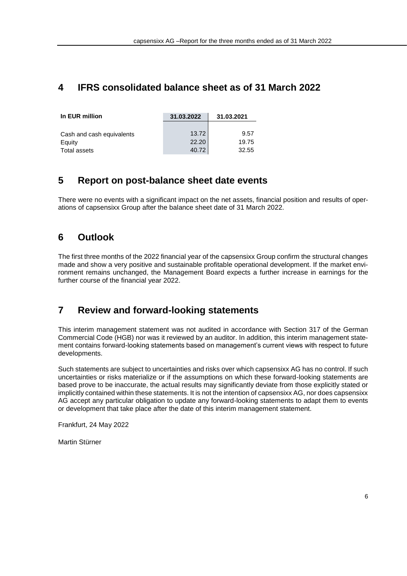### <span id="page-5-0"></span>**4 IFRS consolidated balance sheet as of 31 March 2022**

| In EUR million            | 31.03.2022 | 31.03.2021 |  |
|---------------------------|------------|------------|--|
|                           |            |            |  |
| Cash and cash equivalents | 13.72      | 9.57       |  |
| Equity                    | 22.20      | 19.75      |  |
| Total assets              | 40.72      | 32.55      |  |

### <span id="page-5-1"></span>**5 Report on post-balance sheet date events**

<span id="page-5-2"></span>There were no events with a significant impact on the net assets, financial position and results of operations of capsensixx Group after the balance sheet date of 31 March 2022.

### **6 Outlook**

The first three months of the 2022 financial year of the capsensixx Group confirm the structural changes made and show a very positive and sustainable profitable operational development. If the market environment remains unchanged, the Management Board expects a further increase in earnings for the further course of the financial year 2022.

### <span id="page-5-3"></span>**7 Review and forward-looking statements**

This interim management statement was not audited in accordance with Section 317 of the German Commercial Code (HGB) nor was it reviewed by an auditor. In addition, this interim management statement contains forward-looking statements based on management's current views with respect to future developments.

Such statements are subject to uncertainties and risks over which capsensixx AG has no control. If such uncertainties or risks materialize or if the assumptions on which these forward-looking statements are based prove to be inaccurate, the actual results may significantly deviate from those explicitly stated or implicitly contained within these statements. It is not the intention of capsensixx AG, nor does capsensixx AG accept any particular obligation to update any forward-looking statements to adapt them to events or development that take place after the date of this interim management statement.

Frankfurt, 24 May 2022

Martin Stürner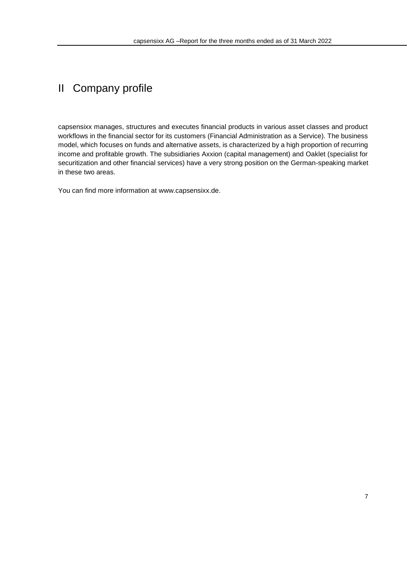# <span id="page-6-0"></span>II Company profile

capsensixx manages, structures and executes financial products in various asset classes and product workflows in the financial sector for its customers (Financial Administration as a Service). The business model, which focuses on funds and alternative assets, is characterized by a high proportion of recurring income and profitable growth. The subsidiaries Axxion (capital management) and Oaklet (specialist for securitization and other financial services) have a very strong position on the German-speaking market in these two areas.

You can find more information at [www.capsensixx.de.](http://www.capsensixx.de/)